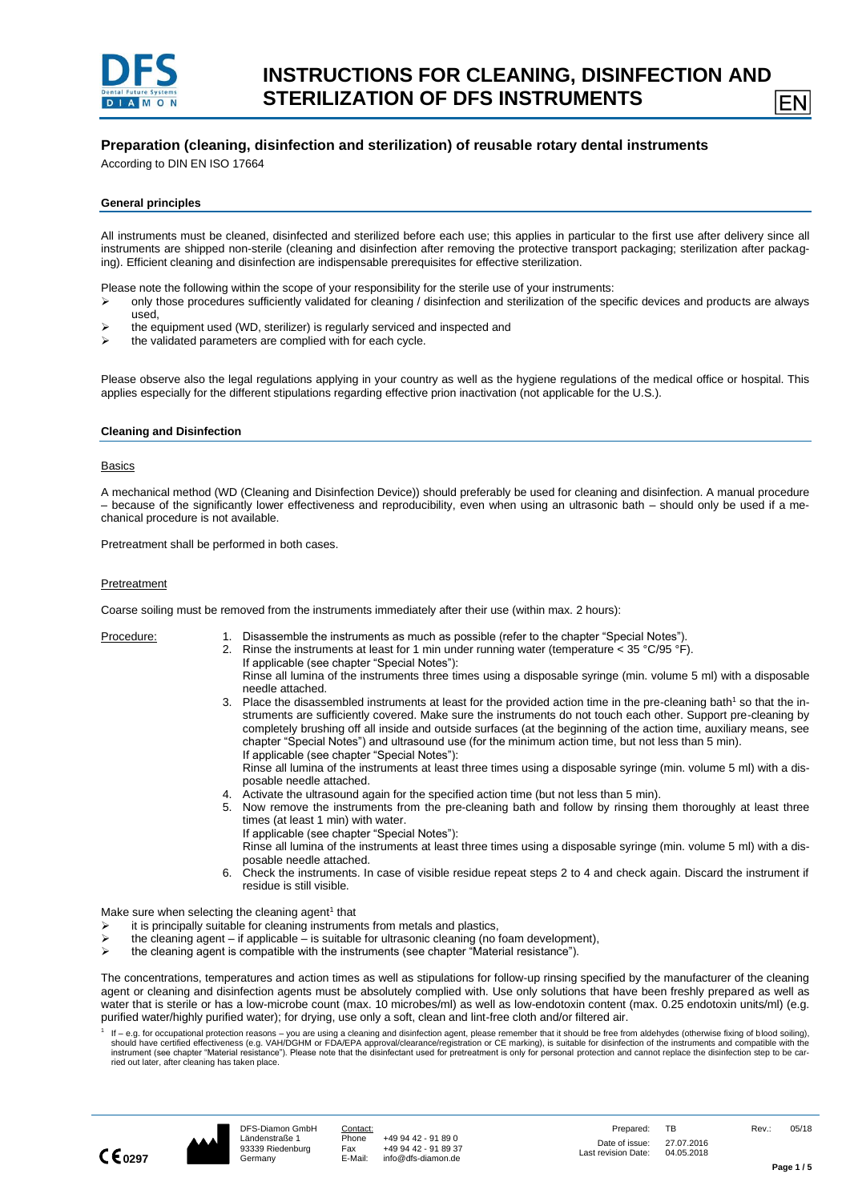

## **Preparation (cleaning, disinfection and sterilization) of reusable rotary dental instruments**

According to DIN EN ISO 17664

#### **General principles**

All instruments must be cleaned, disinfected and sterilized before each use; this applies in particular to the first use after delivery since all instruments are shipped non-sterile (cleaning and disinfection after removing the protective transport packaging; sterilization after packaging). Efficient cleaning and disinfection are indispensable prerequisites for effective sterilization.

Please note the following within the scope of your responsibility for the sterile use of your instruments:

- ➢ only those procedures sufficiently validated for cleaning / disinfection and sterilization of the specific devices and products are always used,
- ➢ the equipment used (WD, sterilizer) is regularly serviced and inspected and
- ➢ the validated parameters are complied with for each cycle.

Please observe also the legal regulations applying in your country as well as the hygiene regulations of the medical office or hospital. This applies especially for the different stipulations regarding effective prion inactivation (not applicable for the U.S.).

#### **Cleaning and Disinfection**

#### Basics

A mechanical method (WD (Cleaning and Disinfection Device)) should preferably be used for cleaning and disinfection. A manual procedure – because of the significantly lower effectiveness and reproducibility, even when using an ultrasonic bath – should only be used if a mechanical procedure is not available.

Pretreatment shall be performed in both cases.

#### **Pretreatment**

Coarse soiling must be removed from the instruments immediately after their use (within max. 2 hours):

- Procedure: 1. Disassemble the instruments as much as possible (refer to the chapter "Special Notes").
	- 2. Rinse the instruments at least for 1 min under running water (temperature < 35 °C/95 °F). If applicable (see chapter "Special Notes"): Rinse all lumina of the instruments three times using a disposable syringe (min. volume 5 ml) with a disposable
	- needle attached. 3. Place the disassembled instruments at least for the provided action time in the pre-cleaning bath<sup>1</sup> so that the instruments are sufficiently covered. Make sure the instruments do not touch each other. Support pre-cleaning by completely brushing off all inside and outside surfaces (at the beginning of the action time, auxiliary means, see chapter "Special Notes") and ultrasound use (for the minimum action time, but not less than 5 min). If applicable (see chapter "Special Notes"):

Rinse all lumina of the instruments at least three times using a disposable syringe (min. volume 5 ml) with a disposable needle attached.

- 4. Activate the ultrasound again for the specified action time (but not less than 5 min).
- 5. Now remove the instruments from the pre-cleaning bath and follow by rinsing them thoroughly at least three times (at least 1 min) with water.
	- If applicable (see chapter "Special Notes"):
- Rinse all lumina of the instruments at least three times using a disposable syringe (min. volume 5 ml) with a disposable needle attached.
- 6. Check the instruments. In case of visible residue repeat steps 2 to 4 and check again. Discard the instrument if residue is still visible.

Make sure when selecting the cleaning agent<sup>1</sup> that

- it is principally suitable for cleaning instruments from metals and plastics,
- $\triangleright$  the cleaning agent if applicable is suitable for ultrasonic cleaning (no foam development),
- ➢ the cleaning agent is compatible with the instruments (see chapter "Material resistance").

The concentrations, temperatures and action times as well as stipulations for follow-up rinsing specified by the manufacturer of the cleaning agent or cleaning and disinfection agents must be absolutely complied with. Use only solutions that have been freshly prepared as well as water that is sterile or has a low-microbe count (max. 10 microbes/ml) as well as low-endotoxin content (max. 0.25 endotoxin units/ml) (e.g. purified water/highly purified water); for drying, use only a soft, clean and lint-free cloth and/or filtered air.

1 If – e.g. for occupational protection reasons – you are using a cleaning and disinfection agent, please remember that it should be free from aldehydes (otherwise fixing of blood soiling),<br>should have certified effectivenes instrument (see chapter "Material resistance"). Please note that the disinfectant used for pretreatment is only for personal protection and cannot replace the disinfection step to be carried out later, after cleaning has taken place.



EN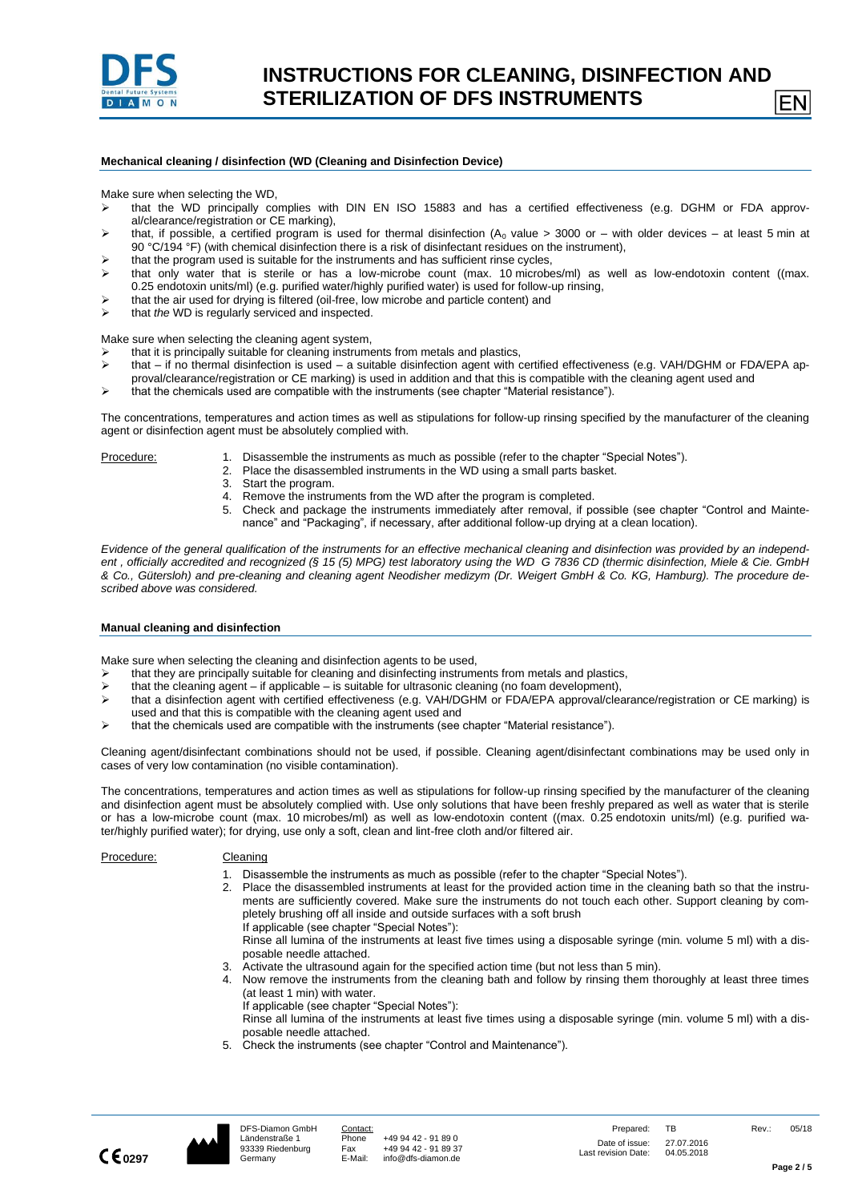

### **Mechanical cleaning / disinfection (WD (Cleaning and Disinfection Device)**

Make sure when selecting the WD,

- ➢ that the WD principally complies with DIN EN ISO 15883 and has a certified effectiveness (e.g. DGHM or FDA approval/clearance/registration or CE marking),
- $\triangleright$  that, if possible, a certified program is used for thermal disinfection (A<sub>0</sub> value > 3000 or with older devices at least 5 min at 90 °C/194 °F) (with chemical disinfection there is a risk of disinfectant residues on the instrument),
- $\ge$  that the program used is suitable for the instruments and has sufficient rinse cycles,<br> $\ge$  that only water that is sterile or has a low-microbe count (max 10 microbe
- that only water that is sterile or has a low-microbe count (max. 10 microbes/ml) as well as low-endotoxin content ((max. 0.25 endotoxin units/ml) (e.g. purified water/highly purified water) is used for follow-up rinsing,
- ➢ that the air used for drying is filtered (oil-free, low microbe and particle content) and
- ➢ that *the* WD is regularly serviced and inspected.

Make sure when selecting the cleaning agent system,

- $\triangleright$  that it is principally suitable for cleaning instruments from metals and plastics,<br>  $\triangleright$  that if no thermal disinfection is used a suitable disinfection agent with c
- that if no thermal disinfection is used a suitable disinfection agent with certified effectiveness (e.g. VAH/DGHM or FDA/EPA ap-
- proval/clearance/registration or CE marking) is used in addition and that this is compatible with the cleaning agent used and
- ➢ that the chemicals used are compatible with the instruments (see chapter "Material resistance").

The concentrations, temperatures and action times as well as stipulations for follow-up rinsing specified by the manufacturer of the cleaning agent or disinfection agent must be absolutely complied with.

- Procedure: 1. Disassemble the instruments as much as possible (refer to the chapter "Special Notes").
	- 2. Place the disassembled instruments in the WD using a small parts basket.
		- 3. Start the program.
		- 4. Remove the instruments from the WD after the program is completed.
		- 5. Check and package the instruments immediately after removal, if possible (see chapter "Control and Maintenance" and "Packaging", if necessary, after additional follow-up drying at a clean location).

Evidence of the general qualification of the instruments for an effective mechanical cleaning and disinfection was provided by an independ*ent , officially accredited and recognized (§ 15 (5) MPG) test laboratory using the WD G 7836 CD (thermic disinfection, Miele & Cie. GmbH & Co., Gütersloh) and pre-cleaning and cleaning agent Neodisher medizym (Dr. Weigert GmbH & Co. KG, Hamburg). The procedure described above was considered.*

#### **Manual cleaning and disinfection**

Make sure when selecting the cleaning and disinfection agents to be used,

- $\triangleright$  that they are principally suitable for cleaning and disinfecting instruments from metals and plastics,<br>  $\triangleright$  that the cleaning agent if applicable is suitable for ultrasonic cleaning (no foam development)
- that the cleaning agent if applicable is suitable for ultrasonic cleaning (no foam development),
- ➢ that a disinfection agent with certified effectiveness (e.g. VAH/DGHM or FDA/EPA approval/clearance/registration or CE marking) is used and that this is compatible with the cleaning agent used and
- ➢ that the chemicals used are compatible with the instruments (see chapter "Material resistance").

Cleaning agent/disinfectant combinations should not be used, if possible. Cleaning agent/disinfectant combinations may be used only in cases of very low contamination (no visible contamination).

The concentrations, temperatures and action times as well as stipulations for follow-up rinsing specified by the manufacturer of the cleaning and disinfection agent must be absolutely complied with. Use only solutions that have been freshly prepared as well as water that is sterile or has a low-microbe count (max. 10 microbes/ml) as well as low-endotoxin content ((max. 0.25 endotoxin units/ml) (e.g. purified water/highly purified water); for drying, use only a soft, clean and lint-free cloth and/or filtered air.

# Procedure: Cleaning

- 1. Disassemble the instruments as much as possible (refer to the chapter "Special Notes").
- 2. Place the disassembled instruments at least for the provided action time in the cleaning bath so that the instruments are sufficiently covered. Make sure the instruments do not touch each other. Support cleaning by completely brushing off all inside and outside surfaces with a soft brush If applicable (see chapter "Special Notes"):

Rinse all lumina of the instruments at least five times using a disposable syringe (min. volume 5 ml) with a disposable needle attached.

- 3. Activate the ultrasound again for the specified action time (but not less than 5 min).
- 4. Now remove the instruments from the cleaning bath and follow by rinsing them thoroughly at least three times (at least 1 min) with water.
	- If applicable (see chapter "Special Notes"):

Rinse all lumina of the instruments at least five times using a disposable syringe (min. volume 5 ml) with a disposable needle attached.

5. Check the instruments (see chapter "Control and Maintenance").



EN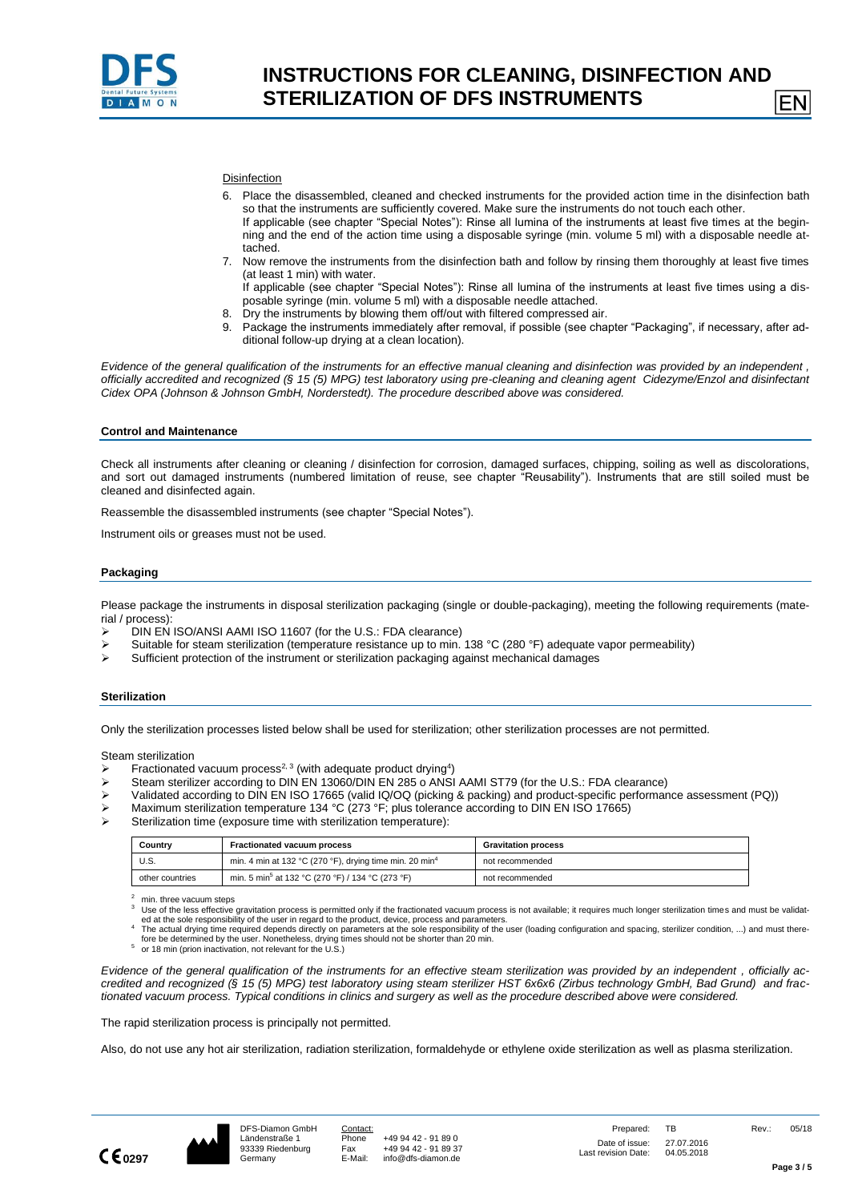

$$
\mathsf{EN}
$$

#### **Disinfection**

- 6. Place the disassembled, cleaned and checked instruments for the provided action time in the disinfection bath so that the instruments are sufficiently covered. Make sure the instruments do not touch each other. If applicable (see chapter "Special Notes"): Rinse all lumina of the instruments at least five times at the beginning and the end of the action time using a disposable syringe (min. volume 5 ml) with a disposable needle at-
- tached. 7. Now remove the instruments from the disinfection bath and follow by rinsing them thoroughly at least five times (at least 1 min) with water.

If applicable (see chapter "Special Notes"): Rinse all lumina of the instruments at least five times using a disposable syringe (min. volume 5 ml) with a disposable needle attached.

- 8. Dry the instruments by blowing them off/out with filtered compressed air.
- 9. Package the instruments immediately after removal, if possible (see chapter "Packaging", if necessary, after additional follow-up drying at a clean location).

*Evidence of the general qualification of the instruments for an effective manual cleaning and disinfection was provided by an independent , officially accredited and recognized (§ 15 (5) MPG) test laboratory using pre-cleaning and cleaning agent Cidezyme/Enzol and disinfectant Cidex OPA (Johnson & Johnson GmbH, Norderstedt). The procedure described above was considered.*

#### **Control and Maintenance**

Check all instruments after cleaning or cleaning / disinfection for corrosion, damaged surfaces, chipping, soiling as well as discolorations, and sort out damaged instruments (numbered limitation of reuse, see chapter "Reusability"). Instruments that are still soiled must be cleaned and disinfected again.

Reassemble the disassembled instruments (see chapter "Special Notes").

Instrument oils or greases must not be used.

#### **Packaging**

Please package the instruments in disposal sterilization packaging (single or double-packaging), meeting the following requirements (material / process):

- $\triangleright$  DIN EN ISO/ANSI AAMI ISO 11607 (for the U.S.: FDA clearance)<br>  $\triangleright$  Suitable for steam sterilization (temperature resistance up to min
- Suitable for steam sterilization (temperature resistance up to min. 138 °C (280 °F) adequate vapor permeability)
- ➢ Sufficient protection of the instrument or sterilization packaging against mechanical damages

#### **Sterilization**

Only the sterilization processes listed below shall be used for sterilization; other sterilization processes are not permitted.

Steam sterilization

- $\triangleright$  Fractionated vacuum process<sup>2, 3</sup> (with adequate product drying<sup>4</sup>)
- ➢ Steam sterilizer according to DIN EN 13060/DIN EN 285 o ANSI AAMI ST79 (for the U.S.: FDA clearance)
- ➢ Validated according to DIN EN ISO 17665 (valid IQ/OQ (picking & packing) and product-specific performance assessment (PQ))
- Maximum sterilization temperature 134 °C (273 °F; plus tolerance according to DIN EN ISO 17665)
- Sterilization time (exposure time with sterilization temperature):

| Country         | <b>Fractionated vacuum process</b>                                  | <b>Gravitation process</b> |  |  |  |  |
|-----------------|---------------------------------------------------------------------|----------------------------|--|--|--|--|
| U.S.            | min. 4 min at 132 °C (270 °F), drying time min. 20 min <sup>4</sup> | not recommended            |  |  |  |  |
| other countries | min. 5 min <sup>5</sup> at 132 °C (270 °F) / 134 °C (273 °F)        | not recommended            |  |  |  |  |

 $2$  min. three vacuum steps

Use of the less effective gravitation process is permitted only if the fractionated vacuum process is not available; it requires much longer sterilization times and must be validated at the sole responsibility of the user in regard to the product, device, process and parameters.<br>4 The actual drying time required depends directly on parameters at the sole responsibility of the user (loading configura

fore be determined by the user. Nonetheless, drying times should not be shorter than 20 min.

5 or 18 min (prion inactivation, not relevant for the U.S.)

*Evidence of the general qualification of the instruments for an effective steam sterilization was provided by an independent , officially accredited and recognized (§ 15 (5) MPG) test laboratory using steam sterilizer HST 6x6x6 (Zirbus technology GmbH, Bad Grund) and fractionated vacuum process. Typical conditions in clinics and surgery as well as the procedure described above were considered.*

The rapid sterilization process is principally not permitted.

Also, do not use any hot air sterilization, radiation sterilization, formaldehyde or ethylene oxide sterilization as well as plasma sterilization.

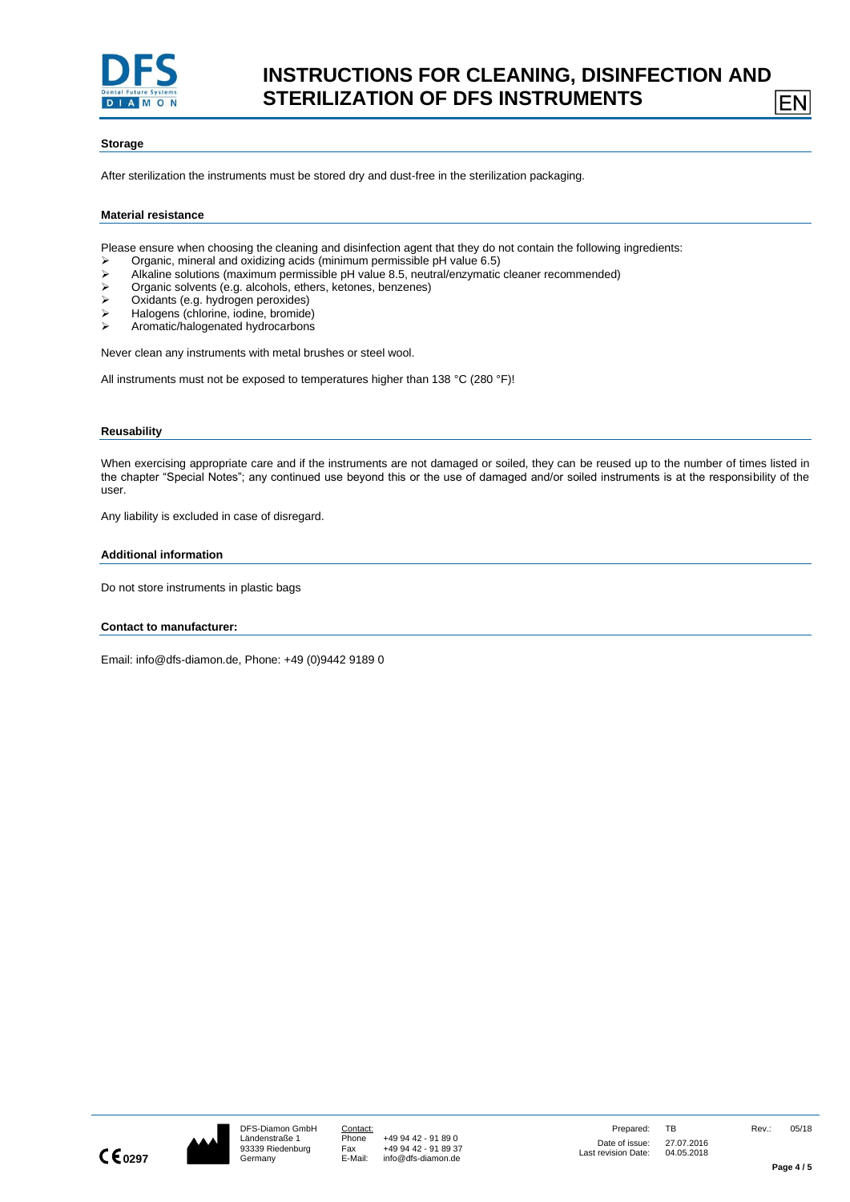

#### **Storage**

After sterilization the instruments must be stored dry and dust-free in the sterilization packaging.

#### **Material resistance**

Please ensure when choosing the cleaning and disinfection agent that they do not contain the following ingredients:

- ➢ Organic, mineral and oxidizing acids (minimum permissible pH value 6.5)
- ➢ Alkaline solutions (maximum permissible pH value 8.5, neutral/enzymatic cleaner recommended)
- $\triangleright$  Organic solvents (e.g. alcohols, ethers, ketones, benzenes)<br>  $\triangleright$  Ovidants (e.g. bydrogen peroxides)
- ➢ Oxidants (e.g. hydrogen peroxides)
- ➢ Halogens (chlorine, iodine, bromide)
- ➢ Aromatic/halogenated hydrocarbons

Never clean any instruments with metal brushes or steel wool.

All instruments must not be exposed to temperatures higher than 138 °C (280 °F)!

#### **Reusability**

When exercising appropriate care and if the instruments are not damaged or soiled, they can be reused up to the number of times listed in the chapter "Special Notes"; any continued use beyond this or the use of damaged and/or soiled instruments is at the responsibility of the user.

Any liability is excluded in case of disregard.

#### **Additional information**

Do not store instruments in plastic bags

**Contact to manufacturer:**

Email: info@dfs-diamon.de, Phone: +49 (0)9442 9189 0



EN